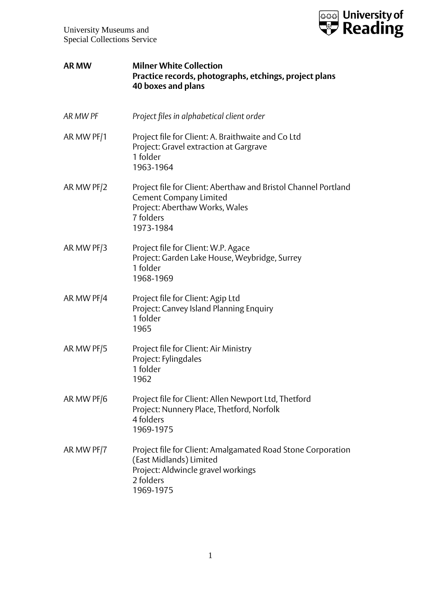

| <b>AR MW</b> | <b>Milner White Collection</b><br>Practice records, photographs, etchings, project plans<br>40 boxes and plans                                              |
|--------------|-------------------------------------------------------------------------------------------------------------------------------------------------------------|
| AR MW PF     | Project files in alphabetical client order                                                                                                                  |
| AR MW PF/1   | Project file for Client: A. Braithwaite and Co Ltd<br>Project: Gravel extraction at Gargrave<br>1 folder<br>1963-1964                                       |
| AR MW PF/2   | Project file for Client: Aberthaw and Bristol Channel Portland<br><b>Cement Company Limited</b><br>Project: Aberthaw Works, Wales<br>7 folders<br>1973-1984 |
| AR MW PF/3   | Project file for Client: W.P. Agace<br>Project: Garden Lake House, Weybridge, Surrey<br>1 folder<br>1968-1969                                               |
| AR MW PF/4   | Project file for Client: Agip Ltd<br>Project: Canvey Island Planning Enquiry<br>1 folder<br>1965                                                            |
| AR MW PF/5   | Project file for Client: Air Ministry<br>Project: Fylingdales<br>1 folder<br>1962                                                                           |
| AR MW PF/6   | Project file for Client: Allen Newport Ltd, Thetford<br>Project: Nunnery Place, Thetford, Norfolk<br>4 folders<br>1969-1975                                 |
| AR MW PF/7   | Project file for Client: Amalgamated Road Stone Corporation<br>(East Midlands) Limited<br>Project: Aldwincle gravel workings<br>2 folders<br>1969-1975      |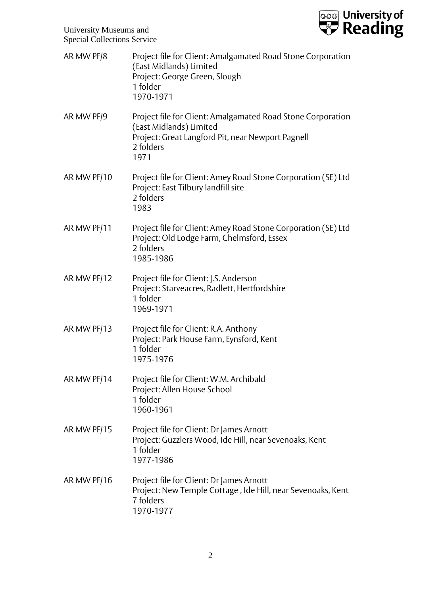

| AR MW PF/8  | Project file for Client: Amalgamated Road Stone Corporation<br>(East Midlands) Limited<br>Project: George Green, Slough<br>1 folder<br>1970-1971                 |
|-------------|------------------------------------------------------------------------------------------------------------------------------------------------------------------|
| AR MW PF/9  | Project file for Client: Amalgamated Road Stone Corporation<br>(East Midlands) Limited<br>Project: Great Langford Pit, near Newport Pagnell<br>2 folders<br>1971 |
| AR MW PF/10 | Project file for Client: Amey Road Stone Corporation (SE) Ltd<br>Project: East Tilbury landfill site<br>2 folders<br>1983                                        |
| AR MW PF/11 | Project file for Client: Amey Road Stone Corporation (SE) Ltd<br>Project: Old Lodge Farm, Chelmsford, Essex<br>2 folders<br>1985-1986                            |
| AR MW PF/12 | Project file for Client: J.S. Anderson<br>Project: Starveacres, Radlett, Hertfordshire<br>1 folder<br>1969-1971                                                  |
| AR MW PF/13 | Project file for Client: R.A. Anthony<br>Project: Park House Farm, Eynsford, Kent<br>1 folder<br>1975-1976                                                       |
| AR MW PF/14 | Project file for Client: W.M. Archibald<br>Project: Allen House School<br>1 folder<br>1960-1961                                                                  |
| AR MW PF/15 | Project file for Client: Dr James Arnott<br>Project: Guzzlers Wood, Ide Hill, near Sevenoaks, Kent<br>1 folder<br>1977-1986                                      |
| AR MW PF/16 | Project file for Client: Dr James Arnott<br>Project: New Temple Cottage, Ide Hill, near Sevenoaks, Kent<br>7 folders<br>1970-1977                                |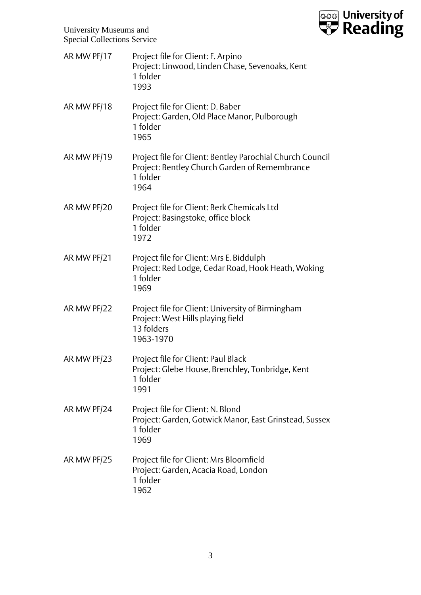

| AR MW PF/17 | Project file for Client: F. Arpino<br>Project: Linwood, Linden Chase, Sevenoaks, Kent<br>1 folder<br>1993                      |
|-------------|--------------------------------------------------------------------------------------------------------------------------------|
| AR MW PF/18 | Project file for Client: D. Baber<br>Project: Garden, Old Place Manor, Pulborough<br>1 folder<br>1965                          |
| AR MW PF/19 | Project file for Client: Bentley Parochial Church Council<br>Project: Bentley Church Garden of Remembrance<br>1 folder<br>1964 |
| AR MW PF/20 | Project file for Client: Berk Chemicals Ltd<br>Project: Basingstoke, office block<br>1 folder<br>1972                          |
| AR MW PF/21 | Project file for Client: Mrs E. Biddulph<br>Project: Red Lodge, Cedar Road, Hook Heath, Woking<br>1 folder<br>1969             |
| AR MW PF/22 | Project file for Client: University of Birmingham<br>Project: West Hills playing field<br>13 folders<br>1963-1970              |
| AR MW PF/23 | Project file for Client: Paul Black<br>Project: Glebe House, Brenchley, Tonbridge, Kent<br>1 folder<br>1991                    |
| AR MW PF/24 | Project file for Client: N. Blond<br>Project: Garden, Gotwick Manor, East Grinstead, Sussex<br>1 folder<br>1969                |
| AR MW PF/25 | Project file for Client: Mrs Bloomfield<br>Project: Garden, Acacia Road, London<br>1 folder<br>1962                            |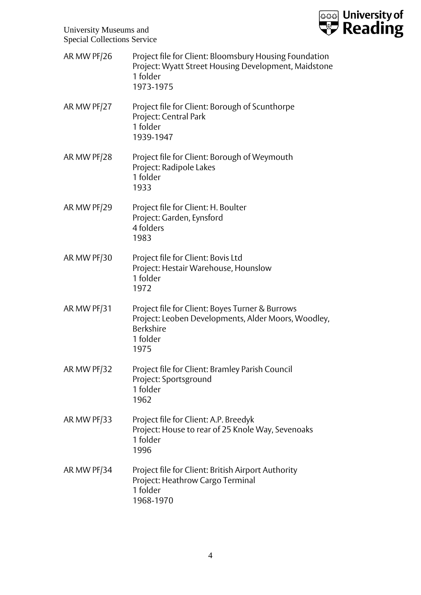

| AR MW PF/26 | Project file for Client: Bloomsbury Housing Foundation<br>Project: Wyatt Street Housing Development, Maidstone<br>1 folder<br>1973-1975        |
|-------------|------------------------------------------------------------------------------------------------------------------------------------------------|
| AR MW PF/27 | Project file for Client: Borough of Scunthorpe<br>Project: Central Park<br>1 folder<br>1939-1947                                               |
| AR MW PF/28 | Project file for Client: Borough of Weymouth<br>Project: Radipole Lakes<br>1 folder<br>1933                                                    |
| AR MW PF/29 | Project file for Client: H. Boulter<br>Project: Garden, Eynsford<br>4 folders<br>1983                                                          |
| AR MW PF/30 | Project file for Client: Bovis Ltd<br>Project: Hestair Warehouse, Hounslow<br>1 folder<br>1972                                                 |
| AR MW PF/31 | Project file for Client: Boyes Turner & Burrows<br>Project: Leoben Developments, Alder Moors, Woodley,<br><b>Berkshire</b><br>1 folder<br>1975 |
| AR MW PF/32 | Project file for Client: Bramley Parish Council<br>Project: Sportsground<br>1 folder<br>1962                                                   |
| AR MW PF/33 | Project file for Client: A.P. Breedyk<br>Project: House to rear of 25 Knole Way, Sevenoaks<br>1 folder<br>1996                                 |
| AR MW PF/34 | Project file for Client: British Airport Authority<br>Project: Heathrow Cargo Terminal<br>1 folder<br>1968-1970                                |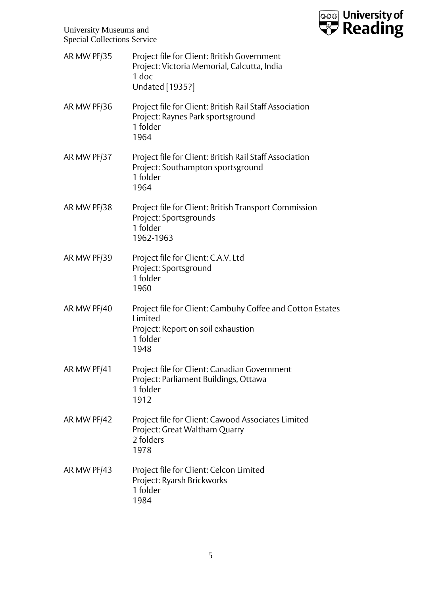

| AR MW PF/35 | Project file for Client: British Government<br>Project: Victoria Memorial, Calcutta, India<br>1 doc<br><b>Undated</b> [1935?]   |
|-------------|---------------------------------------------------------------------------------------------------------------------------------|
| AR MW PF/36 | Project file for Client: British Rail Staff Association<br>Project: Raynes Park sportsground<br>1 folder<br>1964                |
| AR MW PF/37 | Project file for Client: British Rail Staff Association<br>Project: Southampton sportsground<br>1 folder<br>1964                |
| AR MW PF/38 | Project file for Client: British Transport Commission<br>Project: Sportsgrounds<br>1 folder<br>1962-1963                        |
| AR MW PF/39 | Project file for Client: C.A.V. Ltd<br>Project: Sportsground<br>1 folder<br>1960                                                |
| AR MW PF/40 | Project file for Client: Cambuhy Coffee and Cotton Estates<br>Limited<br>Project: Report on soil exhaustion<br>1 folder<br>1948 |
| AR MW PF/41 | Project file for Client: Canadian Government<br>Project: Parliament Buildings, Ottawa<br>1 folder<br>1912                       |
| AR MW PF/42 | Project file for Client: Cawood Associates Limited<br>Project: Great Waltham Quarry<br>2 folders<br>1978                        |
| AR MW PF/43 | Project file for Client: Celcon Limited<br>Project: Ryarsh Brickworks<br>1 folder<br>1984                                       |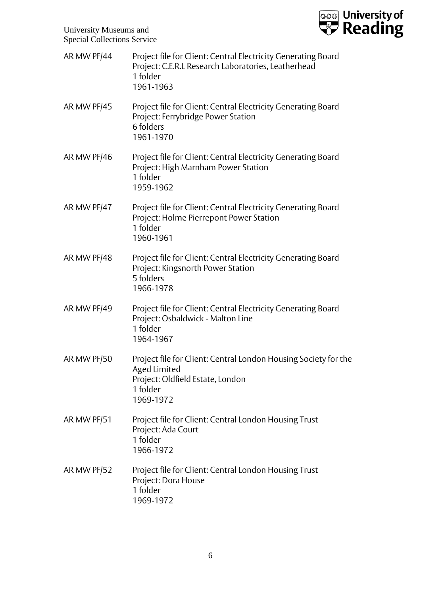

| AR MW PF/44 | Project file for Client: Central Electricity Generating Board<br>Project: C.E.R.L Research Laboratories, Leatherhead<br>1 folder<br>1961-1963 |
|-------------|-----------------------------------------------------------------------------------------------------------------------------------------------|
| AR MW PF/45 | Project file for Client: Central Electricity Generating Board<br>Project: Ferrybridge Power Station<br>6 folders<br>1961-1970                 |
| AR MW PF/46 | Project file for Client: Central Electricity Generating Board<br>Project: High Marnham Power Station<br>1 folder<br>1959-1962                 |
| AR MW PF/47 | Project file for Client: Central Electricity Generating Board<br>Project: Holme Pierrepont Power Station<br>1 folder<br>1960-1961             |
| AR MW PF/48 | Project file for Client: Central Electricity Generating Board<br>Project: Kingsnorth Power Station<br>5 folders<br>1966-1978                  |
| AR MW PF/49 | Project file for Client: Central Electricity Generating Board<br>Project: Osbaldwick - Malton Line<br>1 folder<br>1964-1967                   |
| AR MW PF/50 | Project file for Client: Central London Housing Society for the<br>Aged Limited<br>Project: Oldfield Estate, London<br>1 folder<br>1969-1972  |
| AR MW PF/51 | Project file for Client: Central London Housing Trust<br>Project: Ada Court<br>1 folder<br>1966-1972                                          |
| AR MW PF/52 | Project file for Client: Central London Housing Trust<br>Project: Dora House<br>1 folder<br>1969-1972                                         |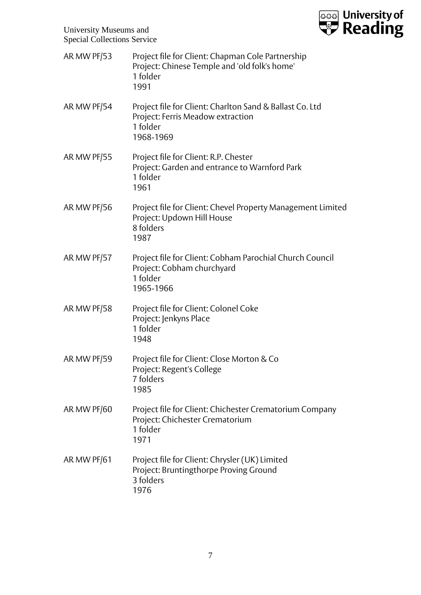

| AR MW PF/53 | Project file for Client: Chapman Cole Partnership<br>Project: Chinese Temple and 'old folk's home'<br>1 folder<br>1991 |
|-------------|------------------------------------------------------------------------------------------------------------------------|
| AR MW PF/54 | Project file for Client: Charlton Sand & Ballast Co. Ltd<br>Project: Ferris Meadow extraction<br>1 folder<br>1968-1969 |
| AR MW PF/55 | Project file for Client: R.P. Chester<br>Project: Garden and entrance to Warnford Park<br>1 folder<br>1961             |
| AR MW PF/56 | Project file for Client: Chevel Property Management Limited<br>Project: Updown Hill House<br>8 folders<br>1987         |
| AR MW PF/57 | Project file for Client: Cobham Parochial Church Council<br>Project: Cobham churchyard<br>1 folder<br>1965-1966        |
| AR MW PF/58 | Project file for Client: Colonel Coke<br>Project: Jenkyns Place<br>1 folder<br>1948                                    |
| AR MW PF/59 | Project file for Client: Close Morton & Co<br>Project: Regent's College<br>7 folders<br>1985                           |
| AR MW PF/60 | Project file for Client: Chichester Crematorium Company<br>Project: Chichester Crematorium<br>1 folder<br>1971         |
| AR MW PF/61 | Project file for Client: Chrysler (UK) Limited<br>Project: Bruntingthorpe Proving Ground<br>3 folders<br>1976          |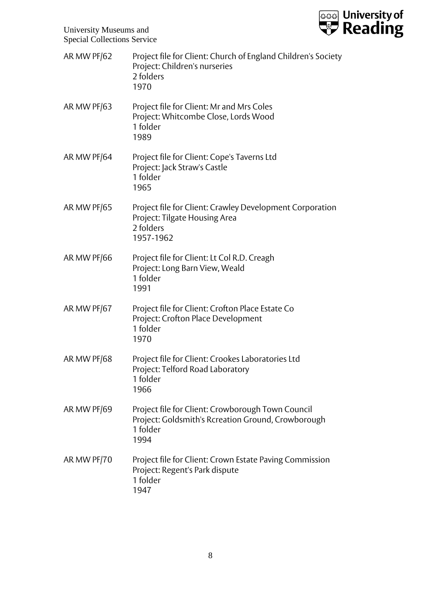

| AR MW PF/62 | Project file for Client: Church of England Children's Society<br>Project: Children's nurseries<br>2 folders<br>1970         |
|-------------|-----------------------------------------------------------------------------------------------------------------------------|
| AR MW PF/63 | Project file for Client: Mr and Mrs Coles<br>Project: Whitcombe Close, Lords Wood<br>1 folder<br>1989                       |
| AR MW PF/64 | Project file for Client: Cope's Taverns Ltd<br>Project: Jack Straw's Castle<br>1 folder<br>1965                             |
| AR MW PF/65 | Project file for Client: Crawley Development Corporation<br>Project: Tilgate Housing Area<br>2 folders<br>1957-1962         |
| AR MW PF/66 | Project file for Client: Lt Col R.D. Creagh<br>Project: Long Barn View, Weald<br>1 folder<br>1991                           |
| AR MW PF/67 | Project file for Client: Crofton Place Estate Co<br>Project: Crofton Place Development<br>1 folder<br>1970                  |
| AR MW PF/68 | Project file for Client: Crookes Laboratories Ltd<br>Project: Telford Road Laboratory<br>1 folder<br>1966                   |
| AR MW PF/69 | Project file for Client: Crowborough Town Council<br>Project: Goldsmith's Rcreation Ground, Crowborough<br>1 folder<br>1994 |
| AR MW PF/70 | Project file for Client: Crown Estate Paving Commission<br>Project: Regent's Park dispute<br>1 folder<br>1947               |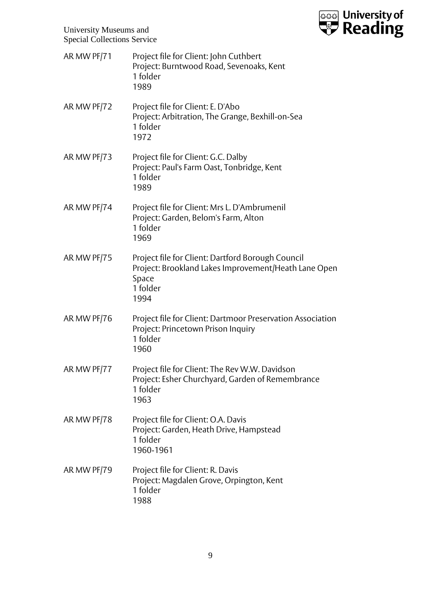

| AR MW PF/71 | Project file for Client: John Cuthbert<br>Project: Burntwood Road, Sevenoaks, Kent<br>1 folder<br>1989                                 |
|-------------|----------------------------------------------------------------------------------------------------------------------------------------|
| AR MW PF/72 | Project file for Client: E. D'Abo<br>Project: Arbitration, The Grange, Bexhill-on-Sea<br>1 folder<br>1972                              |
| AR MW PF/73 | Project file for Client: G.C. Dalby<br>Project: Paul's Farm Oast, Tonbridge, Kent<br>1 folder<br>1989                                  |
| AR MW PF/74 | Project file for Client: Mrs L. D'Ambrumenil<br>Project: Garden, Belom's Farm, Alton<br>1 folder<br>1969                               |
| AR MW PF/75 | Project file for Client: Dartford Borough Council<br>Project: Brookland Lakes Improvement/Heath Lane Open<br>Space<br>1 folder<br>1994 |
| AR MW PF/76 | Project file for Client: Dartmoor Preservation Association<br>Project: Princetown Prison Inquiry<br>1 folder<br>1960                   |
| AR MW PF/77 | Project file for Client: The Rev W.W. Davidson<br>Project: Esher Churchyard, Garden of Remembrance<br>1 folder<br>1963                 |
| AR MW PF/78 | Project file for Client: O.A. Davis<br>Project: Garden, Heath Drive, Hampstead<br>1 folder<br>1960-1961                                |
| AR MW PF/79 | Project file for Client: R. Davis<br>Project: Magdalen Grove, Orpington, Kent<br>1 folder<br>1988                                      |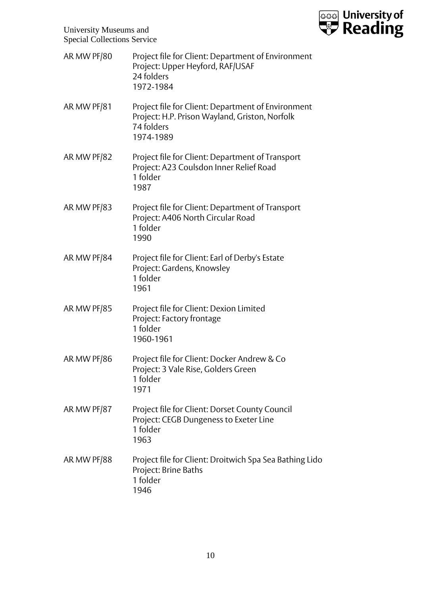

| AR MW PF/80 | Project file for Client: Department of Environment<br>Project: Upper Heyford, RAF/USAF<br>24 folders<br>1972-1984               |
|-------------|---------------------------------------------------------------------------------------------------------------------------------|
| AR MW PF/81 | Project file for Client: Department of Environment<br>Project: H.P. Prison Wayland, Griston, Norfolk<br>74 folders<br>1974-1989 |
| AR MW PF/82 | Project file for Client: Department of Transport<br>Project: A23 Coulsdon Inner Relief Road<br>1 folder<br>1987                 |
| AR MW PF/83 | Project file for Client: Department of Transport<br>Project: A406 North Circular Road<br>1 folder<br>1990                       |
| AR MW PF/84 | Project file for Client: Earl of Derby's Estate<br>Project: Gardens, Knowsley<br>1 folder<br>1961                               |
| AR MW PF/85 | Project file for Client: Dexion Limited<br>Project: Factory frontage<br>1 folder<br>1960-1961                                   |
| AR MW PF/86 | Project file for Client: Docker Andrew & Co<br>Project: 3 Vale Rise, Golders Green<br>1 folder<br>1971                          |
| AR MW PF/87 | Project file for Client: Dorset County Council<br>Project: CEGB Dungeness to Exeter Line<br>1 folder<br>1963                    |
| AR MW PF/88 | Project file for Client: Droitwich Spa Sea Bathing Lido<br>Project: Brine Baths<br>1 folder<br>1946                             |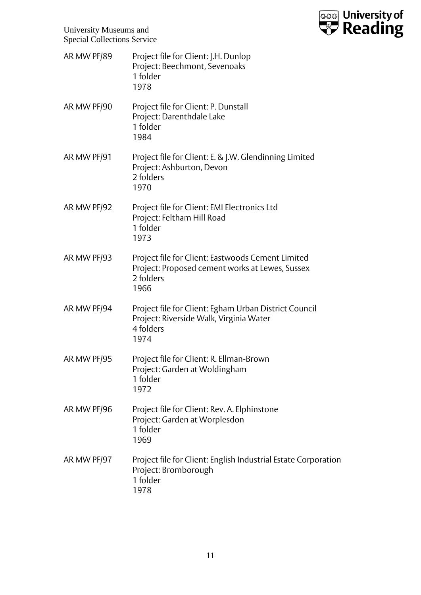

| AR MW PF/89 | Project file for Client: J.H. Dunlop<br>Project: Beechmont, Sevenoaks<br>1 folder<br>1978                                 |
|-------------|---------------------------------------------------------------------------------------------------------------------------|
| AR MW PF/90 | Project file for Client: P. Dunstall<br>Project: Darenthdale Lake<br>1 folder<br>1984                                     |
| AR MW PF/91 | Project file for Client: E. & J.W. Glendinning Limited<br>Project: Ashburton, Devon<br>2 folders<br>1970                  |
| AR MW PF/92 | Project file for Client: EMI Electronics Ltd<br>Project: Feltham Hill Road<br>1 folder<br>1973                            |
| AR MW PF/93 | Project file for Client: Eastwoods Cement Limited<br>Project: Proposed cement works at Lewes, Sussex<br>2 folders<br>1966 |
| AR MW PF/94 | Project file for Client: Egham Urban District Council<br>Project: Riverside Walk, Virginia Water<br>4 folders<br>1974     |
| AR MW PF/95 | Project file for Client: R. Ellman-Brown<br>Project: Garden at Woldingham<br>1 folder<br>1972                             |
| AR MW PF/96 | Project file for Client: Rev. A. Elphinstone<br>Project: Garden at Worplesdon<br>1 folder<br>1969                         |
| AR MW PF/97 | Project file for Client: English Industrial Estate Corporation<br>Project: Bromborough<br>1 folder<br>1978                |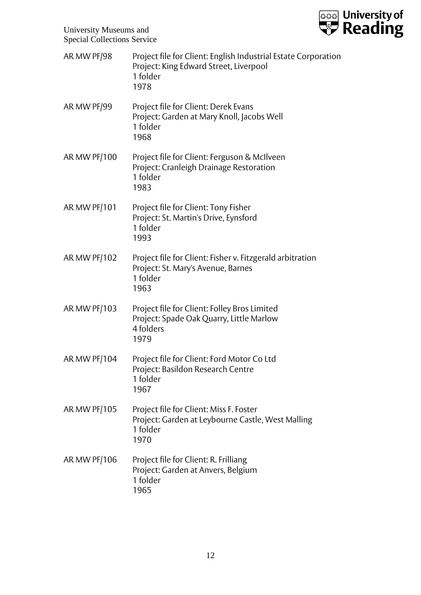

| AR MW PF/98         | Project file for Client: English Industrial Estate Corporation<br>Project: King Edward Street, Liverpool<br>1 folder<br>1978 |
|---------------------|------------------------------------------------------------------------------------------------------------------------------|
| AR MW PF/99         | Project file for Client: Derek Evans<br>Project: Garden at Mary Knoll, Jacobs Well<br>1 folder<br>1968                       |
| AR MW PF/100        | Project file for Client: Ferguson & McIlveen<br>Project: Cranleigh Drainage Restoration<br>1 folder<br>1983                  |
| <b>AR MW PF/101</b> | Project file for Client: Tony Fisher<br>Project: St. Martin's Drive, Eynsford<br>1 folder<br>1993                            |
| AR MW PF/102        | Project file for Client: Fisher v. Fitzgerald arbitration<br>Project: St. Mary's Avenue, Barnes<br>1 folder<br>1963          |
| AR MW PF/103        | Project file for Client: Folley Bros Limited<br>Project: Spade Oak Quarry, Little Marlow<br>4 folders<br>1979                |
| AR MW PF/104        | Project file for Client: Ford Motor Co Ltd<br>Project: Basildon Research Centre<br>1 folder<br>1967                          |
| <b>AR MW PF/105</b> | Project file for Client: Miss F. Foster<br>Project: Garden at Leybourne Castle, West Malling<br>1 folder<br>1970             |
| AR MW PF/106        | Project file for Client: R. Frilliang<br>Project: Garden at Anvers, Belgium<br>1 folder<br>1965                              |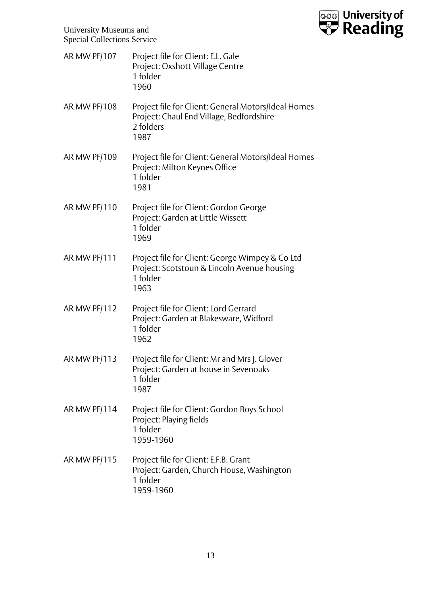

AR MW PF/107 Project file for Client: E.L. Gale Project: Oxshott Village Centre 1 folder 1960 AR MW PF/108 Project file for Client: General Motors/Ideal Homes Project: Chaul End Village, Bedfordshire 2 folders 1987 AR MW PF/109 Project file for Client: General Motors/Ideal Homes Project: Milton Keynes Office 1 folder 1981 AR MW PF/110 Project file for Client: Gordon George Project: Garden at Little Wissett 1 folder 1969 AR MW PF/111 Project file for Client: George Wimpey & Co Ltd Project: Scotstoun & Lincoln Avenue housing 1 folder 1963 AR MW PF/112 Project file for Client: Lord Gerrard Project: Garden at Blakesware, Widford 1 folder 1962 AR MW PF/113 Project file for Client: Mr and Mrs J. Glover Project: Garden at house in Sevenoaks 1 folder 1987 AR MW PF/114 Project file for Client: Gordon Boys School Project: Playing fields 1 folder 1959-1960 AR MW PF/115 Project file for Client: E.F.B. Grant Project: Garden, Church House, Washington 1 folder 1959-1960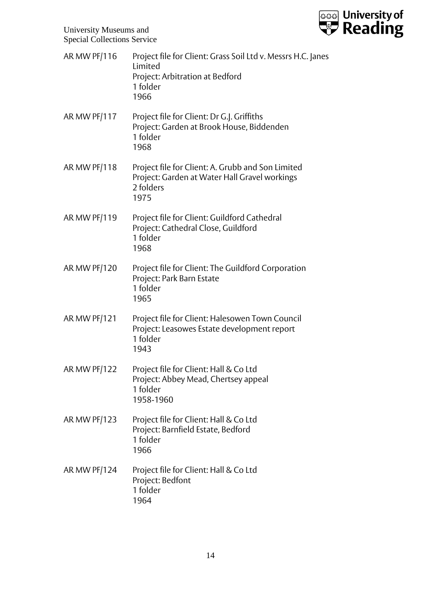

| AR MW PF/116 | Project file for Client: Grass Soil Ltd v. Messrs H.C. Janes<br>Limited<br>Project: Arbitration at Bedford<br>1 folder<br>1966 |
|--------------|--------------------------------------------------------------------------------------------------------------------------------|
| AR MW PF/117 | Project file for Client: Dr G.J. Griffiths<br>Project: Garden at Brook House, Biddenden<br>1 folder<br>1968                    |
| AR MW PF/118 | Project file for Client: A. Grubb and Son Limited<br>Project: Garden at Water Hall Gravel workings<br>2 folders<br>1975        |
| AR MW PF/119 | Project file for Client: Guildford Cathedral<br>Project: Cathedral Close, Guildford<br>1 folder<br>1968                        |
| AR MW PF/120 | Project file for Client: The Guildford Corporation<br>Project: Park Barn Estate<br>1 folder<br>1965                            |
| AR MW PF/121 | Project file for Client: Halesowen Town Council<br>Project: Leasowes Estate development report<br>1 folder<br>1943             |
| AR MW PF/122 | Project file for Client: Hall & Co Ltd<br>Project: Abbey Mead, Chertsey appeal<br>1 folder<br>1958-1960                        |
| AR MW PF/123 | Project file for Client: Hall & Co Ltd<br>Project: Barnfield Estate, Bedford<br>1 folder<br>1966                               |
| AR MW PF/124 | Project file for Client: Hall & Co Ltd<br>Project: Bedfont<br>1 folder<br>1964                                                 |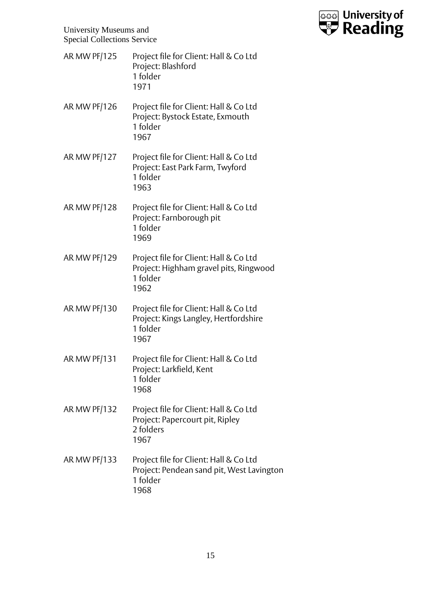

- AR MW PF/125 Project file for Client: Hall & Co Ltd Project: Blashford 1 folder 1971
- AR MW PF/126 Project file for Client: Hall & Co Ltd Project: Bystock Estate, Exmouth 1 folder 1967
- AR MW PF/127 Project file for Client: Hall & Co Ltd Project: East Park Farm, Twyford 1 folder 1963
- AR MW PF/128 Project file for Client: Hall & Co Ltd Project: Farnborough pit 1 folder 1969
- AR MW PF/129 Project file for Client: Hall & Co Ltd Project: Highham gravel pits, Ringwood 1 folder 1962
- AR MW PF/130 Project file for Client: Hall & Co Ltd Project: Kings Langley, Hertfordshire 1 folder 1967
- AR MW PF/131 Project file for Client: Hall & Co Ltd Project: Larkfield, Kent 1 folder 1968
- AR MW PF/132 Project file for Client: Hall & Co Ltd Project: Papercourt pit, Ripley 2 folders 1967
- AR MW PF/133 Project file for Client: Hall & Co Ltd Project: Pendean sand pit, West Lavington 1 folder 1968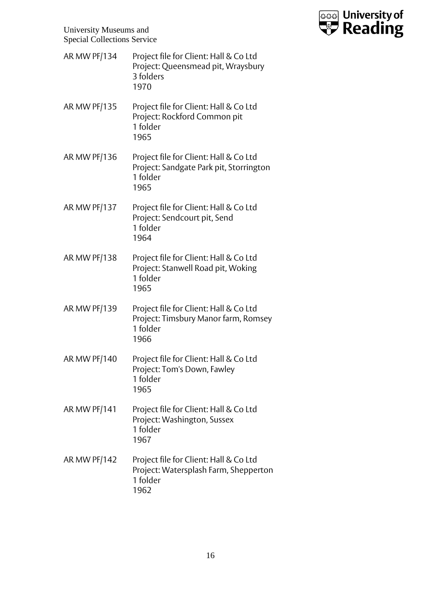

- AR MW PF/134 Project file for Client: Hall & Co Ltd Project: Queensmead pit, Wraysbury 3 folders 1970
- AR MW PF/135 Project file for Client: Hall & Co Ltd Project: Rockford Common pit 1 folder 1965
- AR MW PF/136 Project file for Client: Hall & Co Ltd Project: Sandgate Park pit, Storrington 1 folder 1965
- AR MW PF/137 Project file for Client: Hall & Co Ltd Project: Sendcourt pit, Send 1 folder 1964
- AR MW PF/138 Project file for Client: Hall & Co Ltd Project: Stanwell Road pit, Woking 1 folder 1965
- AR MW PF/139 Project file for Client: Hall & Co Ltd Project: Timsbury Manor farm, Romsey 1 folder 1966
- AR MW PF/140 Project file for Client: Hall & Co Ltd Project: Tom's Down, Fawley 1 folder 1965
- AR MW PF/141 Project file for Client: Hall & Co Ltd Project: Washington, Sussex 1 folder 1967
- AR MW PF/142 Project file for Client: Hall & Co Ltd Project: Watersplash Farm, Shepperton 1 folder 1962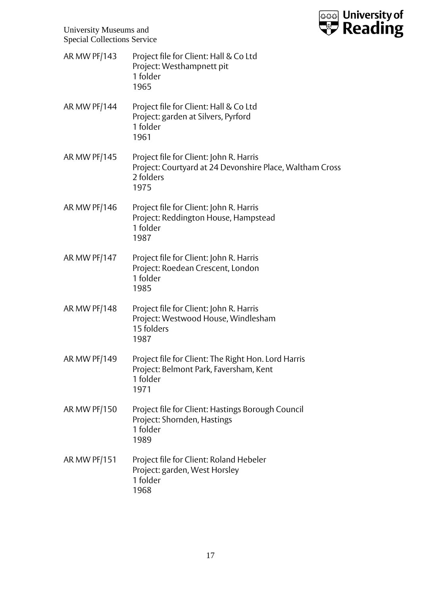

AR MW PF/143 Project file for Client: Hall & Co Ltd Project: Westhampnett pit 1 folder 1965 AR MW PF/144 Project file for Client: Hall & Co Ltd Project: garden at Silvers, Pyrford 1 folder 1961 AR MW PF/145 Project file for Client: John R. Harris Project: Courtyard at 24 Devonshire Place, Waltham Cross 2 folders 1975 AR MW PF/146 Project file for Client: John R. Harris Project: Reddington House, Hampstead 1 folder 1987 AR MW PF/147 Project file for Client: John R. Harris Project: Roedean Crescent, London 1 folder 1985 AR MW PF/148 Project file for Client: John R. Harris Project: Westwood House, Windlesham 15 folders 1987 AR MW PF/149 Project file for Client: The Right Hon. Lord Harris Project: Belmont Park, Faversham, Kent 1 folder 1971 AR MW PF/150 Project file for Client: Hastings Borough Council Project: Shornden, Hastings 1 folder 1989 AR MW PF/151 Project file for Client: Roland Hebeler Project: garden, West Horsley 1 folder 1968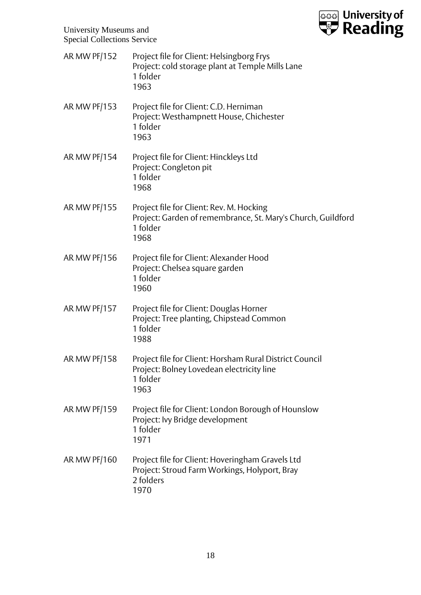

| AR MW PF/152        | Project file for Client: Helsingborg Frys<br>Project: cold storage plant at Temple Mills Lane<br>1 folder<br>1963            |
|---------------------|------------------------------------------------------------------------------------------------------------------------------|
| AR MW PF/153        | Project file for Client: C.D. Herniman<br>Project: Westhampnett House, Chichester<br>1 folder<br>1963                        |
| AR MW PF/154        | Project file for Client: Hinckleys Ltd<br>Project: Congleton pit<br>1 folder<br>1968                                         |
| AR MW PF/155        | Project file for Client: Rev. M. Hocking<br>Project: Garden of remembrance, St. Mary's Church, Guildford<br>1 folder<br>1968 |
| AR MW PF/156        | Project file for Client: Alexander Hood<br>Project: Chelsea square garden<br>1 folder<br>1960                                |
| <b>AR MW PF/157</b> | Project file for Client: Douglas Horner<br>Project: Tree planting, Chipstead Common<br>1 folder<br>1988                      |
| AR MW PF/158        | Project file for Client: Horsham Rural District Council<br>Project: Bolney Lovedean electricity line<br>1 folder<br>1963     |
| AR MW PF/159        | Project file for Client: London Borough of Hounslow<br>Project: Ivy Bridge development<br>1 folder<br>1971                   |
| AR MW PF/160        | Project file for Client: Hoveringham Gravels Ltd<br>Project: Stroud Farm Workings, Holyport, Bray<br>2 folders<br>1970       |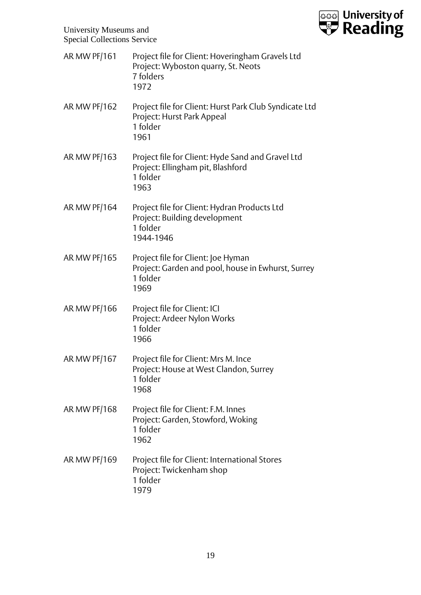

| <b>AR MW PF/161</b> | Project file for Client: Hoveringham Gravels Ltd<br>Project: Wyboston quarry, St. Neots<br>7 folders<br>1972 |
|---------------------|--------------------------------------------------------------------------------------------------------------|
| <b>AR MW PF/162</b> | Project file for Client: Hurst Park Club Syndicate Ltd<br>Project: Hurst Park Appeal<br>1 folder<br>1961     |
| <b>AR MW PF/163</b> | Project file for Client: Hyde Sand and Gravel Ltd<br>Project: Ellingham pit, Blashford<br>1 folder<br>1963   |
| <b>AR MW PF/164</b> | Project file for Client: Hydran Products Ltd<br>Project: Building development<br>1 folder<br>1944-1946       |
| <b>AR MW PF/165</b> | Project file for Client: Joe Hyman<br>Project: Garden and pool, house in Ewhurst, Surrey<br>1 folder<br>1969 |
| AR MW PF/166        | Project file for Client: ICI<br>Project: Ardeer Nylon Works<br>1 folder<br>1966                              |
| <b>AR MW PF/167</b> | Project file for Client: Mrs M. Ince<br>Project: House at West Clandon, Surrey<br>1 folder<br>1968           |
| <b>AR MW PF/168</b> | Project file for Client: F.M. Innes<br>Project: Garden, Stowford, Woking<br>1 folder<br>1962                 |
| AR MW PF/169        | Project file for Client: International Stores<br>Project: Twickenham shop<br>1 folder<br>1979                |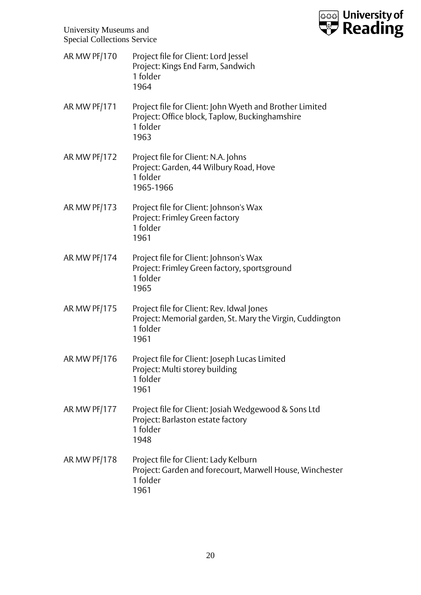

| AR MW PF/170 | Project file for Client: Lord Jessel<br>Project: Kings End Farm, Sandwich<br>1 folder<br>1964                                 |
|--------------|-------------------------------------------------------------------------------------------------------------------------------|
| AR MW PF/171 | Project file for Client: John Wyeth and Brother Limited<br>Project: Office block, Taplow, Buckinghamshire<br>1 folder<br>1963 |
| AR MW PF/172 | Project file for Client: N.A. Johns<br>Project: Garden, 44 Wilbury Road, Hove<br>1 folder<br>1965-1966                        |
| AR MW PF/173 | Project file for Client: Johnson's Wax<br>Project: Frimley Green factory<br>1 folder<br>1961                                  |
| AR MW PF/174 | Project file for Client: Johnson's Wax<br>Project: Frimley Green factory, sportsground<br>1 folder<br>1965                    |
| AR MW PF/175 | Project file for Client: Rev. Idwal Jones<br>Project: Memorial garden, St. Mary the Virgin, Cuddington<br>1 folder<br>1961    |
| AR MW PF/176 | Project file for Client: Joseph Lucas Limited<br>Project: Multi storey building<br>1 folder<br>1961                           |
| AR MW PF/177 | Project file for Client: Josiah Wedgewood & Sons Ltd<br>Project: Barlaston estate factory<br>1 folder<br>1948                 |
| AR MW PF/178 | Project file for Client: Lady Kelburn<br>Project: Garden and forecourt, Marwell House, Winchester<br>1 folder<br>1961         |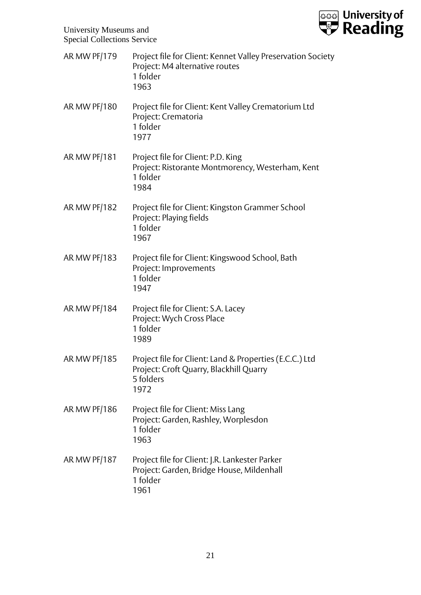

| <b>AR MW PF/179</b> | Project file for Client: Kennet Valley Preservation Society<br>Project: M4 alternative routes<br>1 folder<br>1963       |
|---------------------|-------------------------------------------------------------------------------------------------------------------------|
| AR MW PF/180        | Project file for Client: Kent Valley Crematorium Ltd<br>Project: Crematoria<br>1 folder<br>1977                         |
| <b>AR MW PF/181</b> | Project file for Client: P.D. King<br>Project: Ristorante Montmorency, Westerham, Kent<br>1 folder<br>1984              |
| <b>AR MW PF/182</b> | Project file for Client: Kingston Grammer School<br>Project: Playing fields<br>1 folder<br>1967                         |
| <b>AR MW PF/183</b> | Project file for Client: Kingswood School, Bath<br>Project: Improvements<br>1 folder<br>1947                            |
| AR MW PF/184        | Project file for Client: S.A. Lacey<br>Project: Wych Cross Place<br>1 folder<br>1989                                    |
| <b>AR MW PF/185</b> | Project file for Client: Land & Properties (E.C.C.) Ltd<br>Project: Croft Quarry, Blackhill Quarry<br>5 folders<br>1972 |
| AR MW PF/186        | Project file for Client: Miss Lang<br>Project: Garden, Rashley, Worplesdon<br>1 folder<br>1963                          |
| AR MW PF/187        | Project file for Client: J.R. Lankester Parker<br>Project: Garden, Bridge House, Mildenhall<br>1 folder<br>1961         |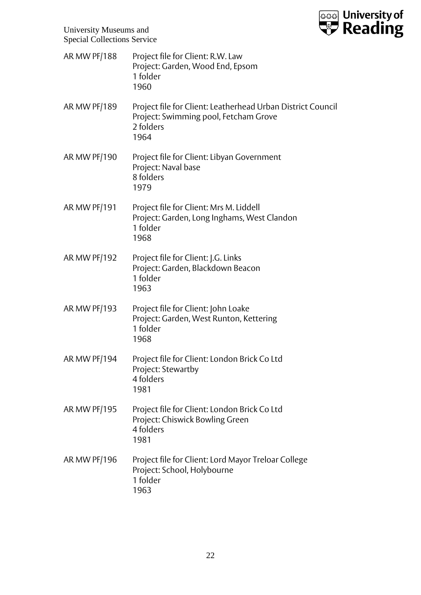

| AR MW PF/188        | Project file for Client: R.W. Law<br>Project: Garden, Wood End, Epsom<br>1 folder<br>1960                                 |
|---------------------|---------------------------------------------------------------------------------------------------------------------------|
| <b>AR MW PF/189</b> | Project file for Client: Leatherhead Urban District Council<br>Project: Swimming pool, Fetcham Grove<br>2 folders<br>1964 |
| <b>AR MW PF/190</b> | Project file for Client: Libyan Government<br>Project: Naval base<br>8 folders<br>1979                                    |
| <b>AR MW PF/191</b> | Project file for Client: Mrs M. Liddell<br>Project: Garden, Long Inghams, West Clandon<br>1 folder<br>1968                |
| <b>AR MW PF/192</b> | Project file for Client: J.G. Links<br>Project: Garden, Blackdown Beacon<br>1 folder<br>1963                              |
| <b>AR MW PF/193</b> | Project file for Client: John Loake<br>Project: Garden, West Runton, Kettering<br>1 folder<br>1968                        |
| AR MW PF/194        | Project file for Client: London Brick Co Ltd<br>Project: Stewartby<br>4 folders<br>1981                                   |
| AR MW PF/195        | Project file for Client: London Brick Co Ltd<br>Project: Chiswick Bowling Green<br>4 folders<br>1981                      |
| AR MW PF/196        | Project file for Client: Lord Mayor Treloar College<br>Project: School, Holybourne<br>1 folder<br>1963                    |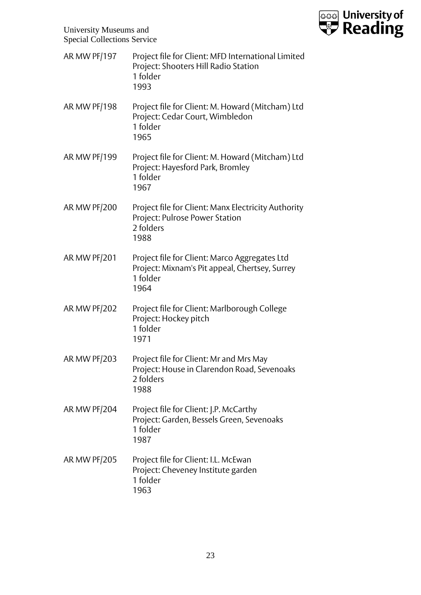

| <b>AR MW PF/197</b> | Project file for Client: MFD International Limited<br>Project: Shooters Hill Radio Station<br>1 folder<br>1993      |
|---------------------|---------------------------------------------------------------------------------------------------------------------|
| <b>AR MW PF/198</b> | Project file for Client: M. Howard (Mitcham) Ltd<br>Project: Cedar Court, Wimbledon<br>1 folder<br>1965             |
| AR MW PF/199        | Project file for Client: M. Howard (Mitcham) Ltd<br>Project: Hayesford Park, Bromley<br>1 folder<br>1967            |
| AR MW PF/200        | Project file for Client: Manx Electricity Authority<br>Project: Pulrose Power Station<br>2 folders<br>1988          |
| <b>AR MW PF/201</b> | Project file for Client: Marco Aggregates Ltd<br>Project: Mixnam's Pit appeal, Chertsey, Surrey<br>1 folder<br>1964 |
| <b>AR MW PF/202</b> | Project file for Client: Marlborough College<br>Project: Hockey pitch<br>1 folder<br>1971                           |
| <b>AR MW PF/203</b> | Project file for Client: Mr and Mrs May<br>Project: House in Clarendon Road, Sevenoaks<br>2 folders<br>1988         |
| AR MW PF/204        | Project file for Client: J.P. McCarthy<br>Project: Garden, Bessels Green, Sevenoaks<br>1 folder<br>1987             |
| AR MW PF/205        | Project file for Client: I.L. McEwan<br>Project: Cheveney Institute garden<br>1 folder<br>1963                      |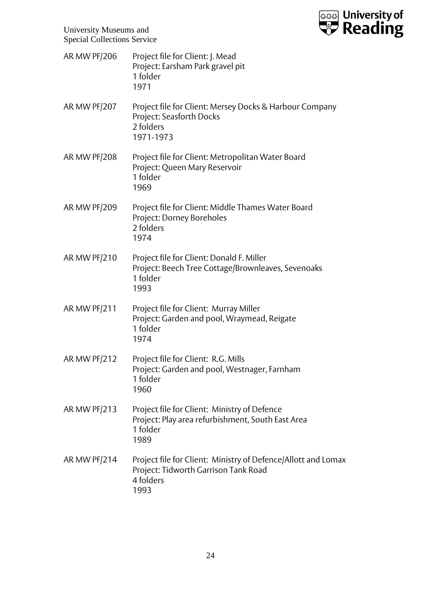

- AR MW PF/206 Project file for Client: J. Mead Project: Earsham Park gravel pit 1 folder 1971
- AR MW PF/207 Project file for Client: Mersey Docks & Harbour Company Project: Seasforth Docks 2 folders 1971-1973
- AR MW PF/208 Project file for Client: Metropolitan Water Board Project: Queen Mary Reservoir 1 folder 1969
- AR MW PF/209 Project file for Client: Middle Thames Water Board Project: Dorney Boreholes 2 folders 1974
- AR MW PF/210 Project file for Client: Donald F. Miller Project: Beech Tree Cottage/Brownleaves, Sevenoaks 1 folder 1993
- AR MW PF/211 Project file for Client: Murray Miller Project: Garden and pool, Wraymead, Reigate 1 folder 1974
- AR MW PF/212 Project file for Client: R.G. Mills Project: Garden and pool, Westnager, Farnham 1 folder 1960
- AR MW PF/213 Project file for Client: Ministry of Defence Project: Play area refurbishment, South East Area 1 folder 1989
- AR MW PF/214 Project file for Client: Ministry of Defence/Allott and Lomax Project: Tidworth Garrison Tank Road 4 folders 1993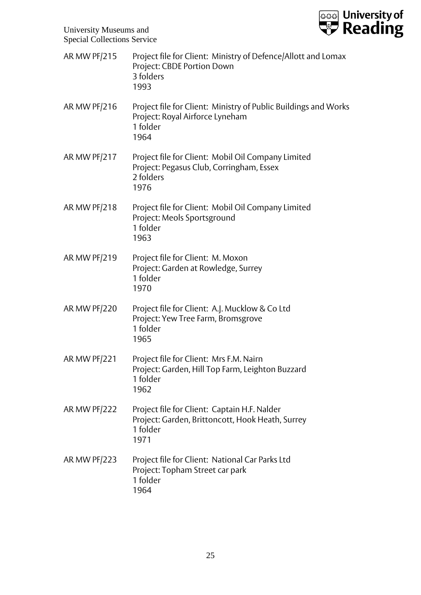

| <b>AR MW PF/215</b> | Project file for Client: Ministry of Defence/Allott and Lomax<br>Project: CBDE Portion Down<br>3 folders<br>1993       |
|---------------------|------------------------------------------------------------------------------------------------------------------------|
| AR MW PF/216        | Project file for Client: Ministry of Public Buildings and Works<br>Project: Royal Airforce Lyneham<br>1 folder<br>1964 |
| AR MW PF/217        | Project file for Client: Mobil Oil Company Limited<br>Project: Pegasus Club, Corringham, Essex<br>2 folders<br>1976    |
| AR MW PF/218        | Project file for Client: Mobil Oil Company Limited<br>Project: Meols Sportsground<br>1 folder<br>1963                  |
| <b>AR MW PF/219</b> | Project file for Client: M. Moxon<br>Project: Garden at Rowledge, Surrey<br>1 folder<br>1970                           |
| <b>AR MW PF/220</b> | Project file for Client: A.J. Mucklow & Co Ltd<br>Project: Yew Tree Farm, Bromsgrove<br>1 folder<br>1965               |
| AR MW PF/221        | Project file for Client: Mrs F.M. Nairn<br>Project: Garden, Hill Top Farm, Leighton Buzzard<br>1 folder<br>1962        |
| AR MW PF/222        | Project file for Client: Captain H.F. Nalder<br>Project: Garden, Brittoncott, Hook Heath, Surrey<br>1 folder<br>1971   |
| AR MW PF/223        | Project file for Client: National Car Parks Ltd<br>Project: Topham Street car park<br>1 folder<br>1964                 |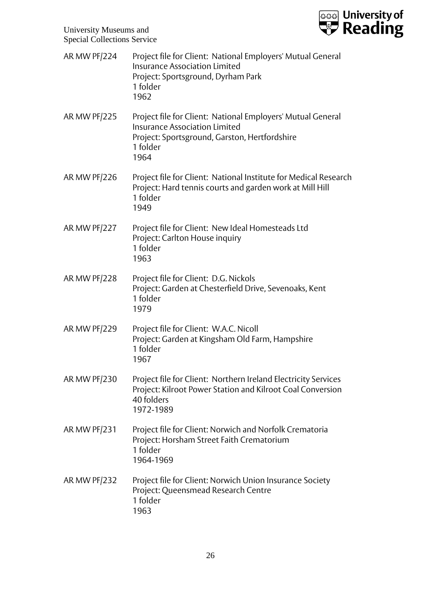

| AR MW PF/224        | Project file for Client: National Employers' Mutual General<br><b>Insurance Association Limited</b><br>Project: Sportsground, Dyrham Park<br>1 folder<br>1962            |
|---------------------|--------------------------------------------------------------------------------------------------------------------------------------------------------------------------|
| <b>AR MW PF/225</b> | Project file for Client: National Employers' Mutual General<br><b>Insurance Association Limited</b><br>Project: Sportsground, Garston, Hertfordshire<br>1 folder<br>1964 |
| <b>AR MW PF/226</b> | Project file for Client: National Institute for Medical Research<br>Project: Hard tennis courts and garden work at Mill Hill<br>1 folder<br>1949                         |
| AR MW PF/227        | Project file for Client: New Ideal Homesteads Ltd<br>Project: Carlton House inquiry<br>1 folder<br>1963                                                                  |
| AR MW PF/228        | Project file for Client: D.G. Nickols<br>Project: Garden at Chesterfield Drive, Sevenoaks, Kent<br>1 folder<br>1979                                                      |
| AR MW PF/229        | Project file for Client: W.A.C. Nicoll<br>Project: Garden at Kingsham Old Farm, Hampshire<br>1 folder<br>1967                                                            |
| AR MW PF/230        | Project file for Client: Northern Ireland Electricity Services<br>Project: Kilroot Power Station and Kilroot Coal Conversion<br>40 folders<br>1972-1989                  |
| AR MW PF/231        | Project file for Client: Norwich and Norfolk Crematoria<br>Project: Horsham Street Faith Crematorium<br>1 folder<br>1964-1969                                            |
| AR MW PF/232        | Project file for Client: Norwich Union Insurance Society<br>Project: Queensmead Research Centre<br>1 folder<br>1963                                                      |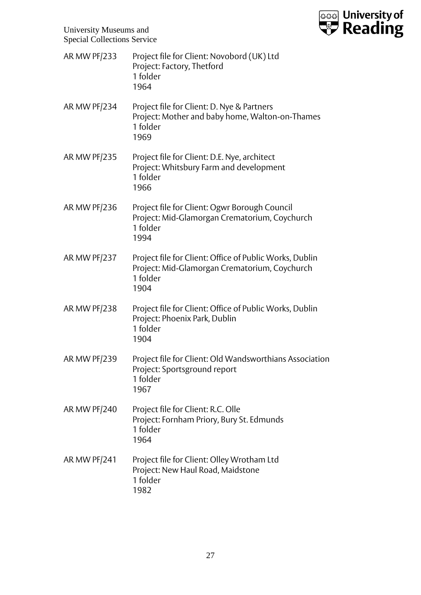

| <b>AR MW PF/233</b> | Project file for Client: Novobord (UK) Ltd<br>Project: Factory, Thetford<br>1 folder<br>1964                                 |
|---------------------|------------------------------------------------------------------------------------------------------------------------------|
| AR MW PF/234        | Project file for Client: D. Nye & Partners<br>Project: Mother and baby home, Walton-on-Thames<br>1 folder<br>1969            |
| AR MW PF/235        | Project file for Client: D.E. Nye, architect<br>Project: Whitsbury Farm and development<br>1 folder<br>1966                  |
| AR MW PF/236        | Project file for Client: Ogwr Borough Council<br>Project: Mid-Glamorgan Crematorium, Coychurch<br>1 folder<br>1994           |
| AR MW PF/237        | Project file for Client: Office of Public Works, Dublin<br>Project: Mid-Glamorgan Crematorium, Coychurch<br>1 folder<br>1904 |
| AR MW PF/238        | Project file for Client: Office of Public Works, Dublin<br>Project: Phoenix Park, Dublin<br>1 folder<br>1904                 |
| AR MW PF/239        | Project file for Client: Old Wandsworthians Association<br>Project: Sportsground report<br>1 folder<br>1967                  |
| AR MW PF/240        | Project file for Client: R.C. Olle<br>Project: Fornham Priory, Bury St. Edmunds<br>1 folder<br>1964                          |
| AR MW PF/241        | Project file for Client: Olley Wrotham Ltd<br>Project: New Haul Road, Maidstone<br>1 folder<br>1982                          |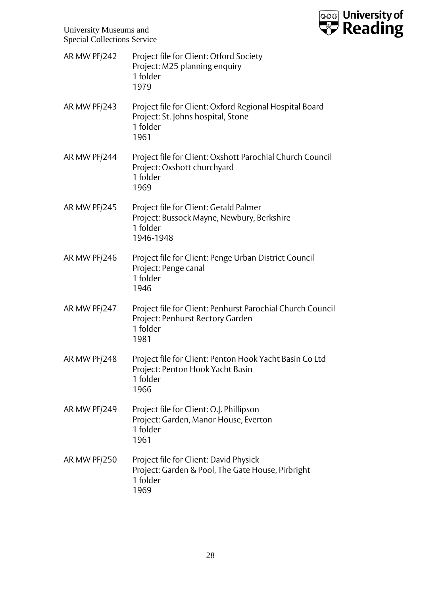

| AR MW PF/242 | Project file for Client: Otford Society<br>Project: M25 planning enquiry<br>1 folder<br>1979                       |
|--------------|--------------------------------------------------------------------------------------------------------------------|
| AR MW PF/243 | Project file for Client: Oxford Regional Hospital Board<br>Project: St. Johns hospital, Stone<br>1 folder<br>1961  |
| AR MW PF/244 | Project file for Client: Oxshott Parochial Church Council<br>Project: Oxshott churchyard<br>1 folder<br>1969       |
| AR MW PF/245 | Project file for Client: Gerald Palmer<br>Project: Bussock Mayne, Newbury, Berkshire<br>1 folder<br>1946-1948      |
| AR MW PF/246 | Project file for Client: Penge Urban District Council<br>Project: Penge canal<br>1 folder<br>1946                  |
| AR MW PF/247 | Project file for Client: Penhurst Parochial Church Council<br>Project: Penhurst Rectory Garden<br>1 folder<br>1981 |
| AR MW PF/248 | Project file for Client: Penton Hook Yacht Basin Co Ltd<br>Project: Penton Hook Yacht Basin<br>1 folder<br>1966    |
| AR MW PF/249 | Project file for Client: O.J. Phillipson<br>Project: Garden, Manor House, Everton<br>1 folder<br>1961              |
| AR MW PF/250 | Project file for Client: David Physick<br>Project: Garden & Pool, The Gate House, Pirbright<br>1 folder<br>1969    |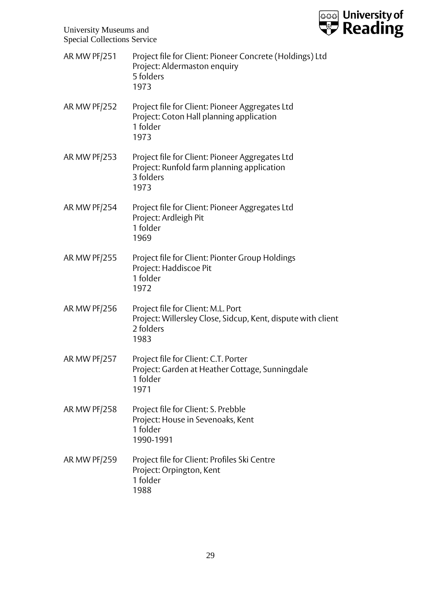

| <b>AR MW PF/251</b> | Project file for Client: Pioneer Concrete (Holdings) Ltd<br>Project: Aldermaston enquiry<br>5 folders<br>1973           |
|---------------------|-------------------------------------------------------------------------------------------------------------------------|
| <b>AR MW PF/252</b> | Project file for Client: Pioneer Aggregates Ltd<br>Project: Coton Hall planning application<br>1 folder<br>1973         |
| <b>AR MW PF/253</b> | Project file for Client: Pioneer Aggregates Ltd<br>Project: Runfold farm planning application<br>3 folders<br>1973      |
| AR MW PF/254        | Project file for Client: Pioneer Aggregates Ltd<br>Project: Ardleigh Pit<br>1 folder<br>1969                            |
| <b>AR MW PF/255</b> | Project file for Client: Pionter Group Holdings<br>Project: Haddiscoe Pit<br>1 folder<br>1972                           |
| <b>AR MW PF/256</b> | Project file for Client: M.L. Port<br>Project: Willersley Close, Sidcup, Kent, dispute with client<br>2 folders<br>1983 |
| <b>AR MW PF/257</b> | Project file for Client: C.T. Porter<br>Project: Garden at Heather Cottage, Sunningdale<br>1 folder<br>1971             |
| <b>AR MW PF/258</b> | Project file for Client: S. Prebble<br>Project: House in Sevenoaks, Kent<br>1 folder<br>1990-1991                       |
| <b>AR MW PF/259</b> | Project file for Client: Profiles Ski Centre<br>Project: Orpington, Kent<br>1 folder<br>1988                            |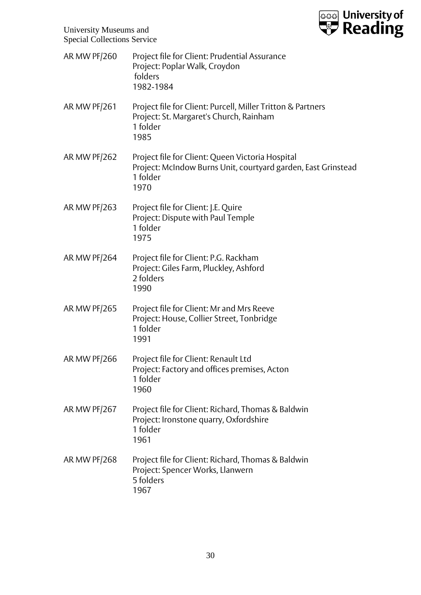

| AR MW PF/260        | Project file for Client: Prudential Assurance<br>Project: Poplar Walk, Croydon<br>folders<br>1982-1984                                |
|---------------------|---------------------------------------------------------------------------------------------------------------------------------------|
| AR MW PF/261        | Project file for Client: Purcell, Miller Tritton & Partners<br>Project: St. Margaret's Church, Rainham<br>1 folder<br>1985            |
| <b>AR MW PF/262</b> | Project file for Client: Queen Victoria Hospital<br>Project: McIndow Burns Unit, courtyard garden, East Grinstead<br>1 folder<br>1970 |
| AR MW PF/263        | Project file for Client: J.E. Quire<br>Project: Dispute with Paul Temple<br>1 folder<br>1975                                          |
| AR MW PF/264        | Project file for Client: P.G. Rackham<br>Project: Giles Farm, Pluckley, Ashford<br>2 folders<br>1990                                  |
| AR MW PF/265        | Project file for Client: Mr and Mrs Reeve<br>Project: House, Collier Street, Tonbridge<br>1 folder<br>1991                            |
| <b>AR MW PF/266</b> | Project file for Client: Renault Ltd<br>Project: Factory and offices premises, Acton<br>1 folder<br>1960                              |
| <b>AR MW PF/267</b> | Project file for Client: Richard, Thomas & Baldwin<br>Project: Ironstone quarry, Oxfordshire<br>1 folder<br>1961                      |
| AR MW PF/268        | Project file for Client: Richard, Thomas & Baldwin<br>Project: Spencer Works, Llanwern<br>5 folders<br>1967                           |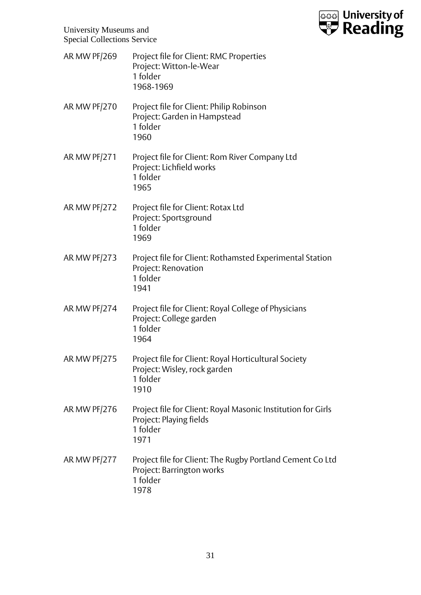

| AR MW PF/269        | Project file for Client: RMC Properties<br>Project: Witton-le-Wear<br>1 folder<br>1968-1969                 |
|---------------------|-------------------------------------------------------------------------------------------------------------|
| AR MW PF/270        | Project file for Client: Philip Robinson<br>Project: Garden in Hampstead<br>1 folder<br>1960                |
| <b>AR MW PF/271</b> | Project file for Client: Rom River Company Ltd<br>Project: Lichfield works<br>1 folder<br>1965              |
| AR MW PF/272        | Project file for Client: Rotax Ltd<br>Project: Sportsground<br>1 folder<br>1969                             |
| <b>AR MW PF/273</b> | Project file for Client: Rothamsted Experimental Station<br>Project: Renovation<br>1 folder<br>1941         |
| AR MW PF/274        | Project file for Client: Royal College of Physicians<br>Project: College garden<br>1 folder<br>1964         |
| <b>AR MW PF/275</b> | Project file for Client: Royal Horticultural Society<br>Project: Wisley, rock garden<br>1 folder<br>1910    |
| AR MW PF/276        | Project file for Client: Royal Masonic Institution for Girls<br>Project: Playing fields<br>1 folder<br>1971 |
| AR MW PF/277        | Project file for Client: The Rugby Portland Cement Co Ltd<br>Project: Barrington works<br>1 folder<br>1978  |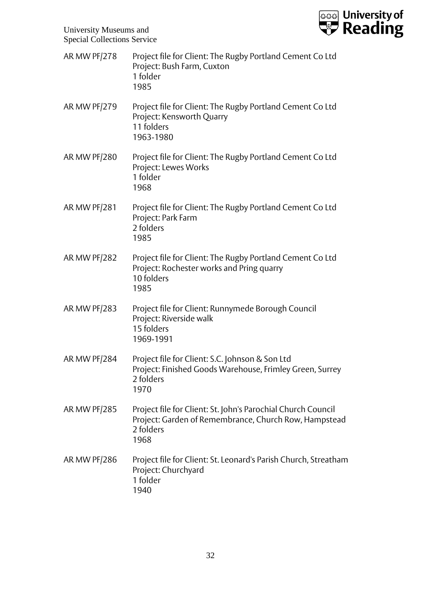

| AR MW PF/278 | Project file for Client: The Rugby Portland Cement Co Ltd<br>Project: Bush Farm, Cuxton<br>1 folder<br>1985                                |
|--------------|--------------------------------------------------------------------------------------------------------------------------------------------|
| AR MW PF/279 | Project file for Client: The Rugby Portland Cement Co Ltd<br>Project: Kensworth Quarry<br>11 folders<br>1963-1980                          |
| AR MW PF/280 | Project file for Client: The Rugby Portland Cement Co Ltd<br>Project: Lewes Works<br>1 folder<br>1968                                      |
| AR MW PF/281 | Project file for Client: The Rugby Portland Cement Co Ltd<br>Project: Park Farm<br>2 folders<br>1985                                       |
| AR MW PF/282 | Project file for Client: The Rugby Portland Cement Co Ltd<br>Project: Rochester works and Pring quarry<br>10 folders<br>1985               |
| AR MW PF/283 | Project file for Client: Runnymede Borough Council<br>Project: Riverside walk<br>15 folders<br>1969-1991                                   |
| AR MW PF/284 | Project file for Client: S.C. Johnson & Son Ltd<br>Project: Finished Goods Warehouse, Frimley Green, Surrey<br>2 folders<br>1970           |
| AR MW PF/285 | Project file for Client: St. John's Parochial Church Council<br>Project: Garden of Remembrance, Church Row, Hampstead<br>2 folders<br>1968 |
| AR MW PF/286 | Project file for Client: St. Leonard's Parish Church, Streatham<br>Project: Churchyard<br>1 folder<br>1940                                 |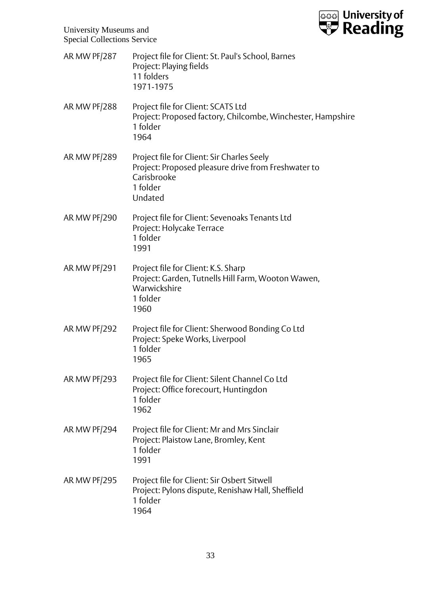

| AR MW PF/287        | Project file for Client: St. Paul's School, Barnes<br>Project: Playing fields<br>11 folders<br>1971-1975                                |
|---------------------|-----------------------------------------------------------------------------------------------------------------------------------------|
| AR MW PF/288        | Project file for Client: SCATS Ltd<br>Project: Proposed factory, Chilcombe, Winchester, Hampshire<br>1 folder<br>1964                   |
| AR MW PF/289        | Project file for Client: Sir Charles Seely<br>Project: Proposed pleasure drive from Freshwater to<br>Carisbrooke<br>1 folder<br>Undated |
| AR MW PF/290        | Project file for Client: Sevenoaks Tenants Ltd<br>Project: Holycake Terrace<br>1 folder<br>1991                                         |
| <b>AR MW PF/291</b> | Project file for Client: K.S. Sharp<br>Project: Garden, Tutnells Hill Farm, Wooton Wawen,<br>Warwickshire<br>1 folder<br>1960           |
| <b>AR MW PF/292</b> | Project file for Client: Sherwood Bonding Co Ltd<br>Project: Speke Works, Liverpool<br>1 folder<br>1965                                 |
| AR MW PF/293        | Project file for Client: Silent Channel Co Ltd<br>Project: Office forecourt, Huntingdon<br>1 folder<br>1962                             |
| AR MW PF/294        | Project file for Client: Mr and Mrs Sinclair<br>Project: Plaistow Lane, Bromley, Kent<br>1 folder<br>1991                               |
| AR MW PF/295        | Project file for Client: Sir Osbert Sitwell<br>Project: Pylons dispute, Renishaw Hall, Sheffield<br>1 folder<br>1964                    |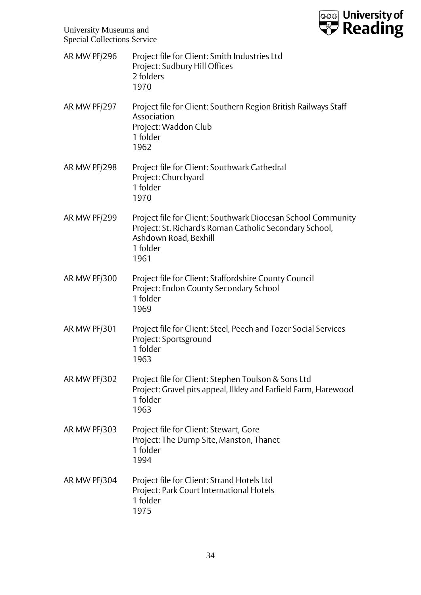

AR MW PF/296 Project file for Client: Smith Industries Ltd Project: Sudbury Hill Offices 2 folders 1970 AR MW PF/297 Project file for Client: Southern Region British Railways Staff Association Project: Waddon Club 1 folder 1962 AR MW PF/298 Project file for Client: Southwark Cathedral Project: Churchyard 1 folder 1970 AR MW PF/299 Project file for Client: Southwark Diocesan School Community Project: St. Richard's Roman Catholic Secondary School, Ashdown Road, Bexhill 1 folder 1961 AR MW PF/300 Project file for Client: Staffordshire County Council Project: Endon County Secondary School 1 folder 1969 AR MW PF/301 Project file for Client: Steel, Peech and Tozer Social Services Project: Sportsground 1 folder 1963 AR MW PF/302 Project file for Client: Stephen Toulson & Sons Ltd Project: Gravel pits appeal, Ilkley and Farfield Farm, Harewood 1 folder 1963 AR MW PF/303 Project file for Client: Stewart, Gore Project: The Dump Site, Manston, Thanet 1 folder 1994 AR MW PF/304 Project file for Client: Strand Hotels Ltd Project: Park Court International Hotels 1 folder 1975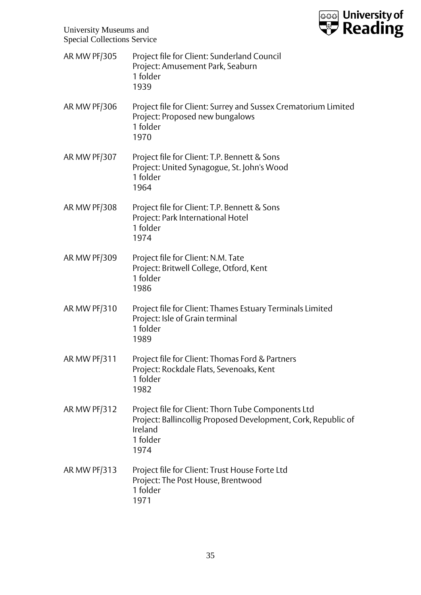

| <b>AR MW PF/305</b> | Project file for Client: Sunderland Council<br>Project: Amusement Park, Seaburn<br>1 folder<br>1939                                                |
|---------------------|----------------------------------------------------------------------------------------------------------------------------------------------------|
| AR MW PF/306        | Project file for Client: Surrey and Sussex Crematorium Limited<br>Project: Proposed new bungalows<br>1 folder<br>1970                              |
| AR MW PF/307        | Project file for Client: T.P. Bennett & Sons<br>Project: United Synagogue, St. John's Wood<br>1 folder<br>1964                                     |
| AR MW PF/308        | Project file for Client: T.P. Bennett & Sons<br>Project: Park International Hotel<br>1 folder<br>1974                                              |
| AR MW PF/309        | Project file for Client: N.M. Tate<br>Project: Britwell College, Otford, Kent<br>1 folder<br>1986                                                  |
| AR MW PF/310        | Project file for Client: Thames Estuary Terminals Limited<br>Project: Isle of Grain terminal<br>1 folder<br>1989                                   |
| AR MW PF/311        | Project file for Client: Thomas Ford & Partners<br>Project: Rockdale Flats, Sevenoaks, Kent<br>1 folder<br>1982                                    |
| AR MW PF/312        | Project file for Client: Thorn Tube Components Ltd<br>Project: Ballincollig Proposed Development, Cork, Republic of<br>Ireland<br>1 folder<br>1974 |
| AR MW PF/313        | Project file for Client: Trust House Forte Ltd<br>Project: The Post House, Brentwood<br>1 folder<br>1971                                           |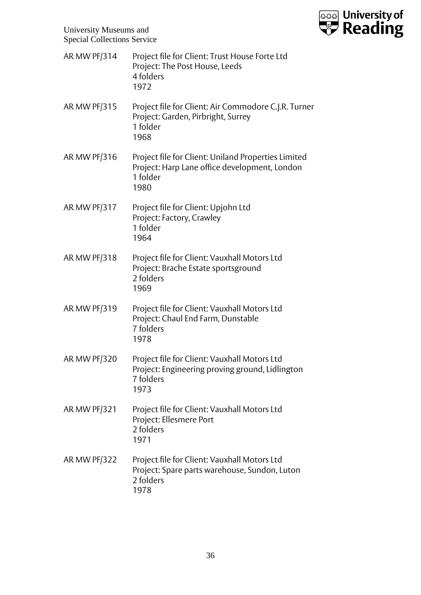

AR MW PF/314 Project file for Client: Trust House Forte Ltd Project: The Post House, Leeds 4 folders 1972 AR MW PF/315 Project file for Client: Air Commodore C.J.R. Turner Project: Garden, Pirbright, Surrey 1 folder 1968 AR MW PF/316 Project file for Client: Uniland Properties Limited Project: Harp Lane office development, London 1 folder 1980 AR MW PF/317 Project file for Client: Upjohn Ltd Project: Factory, Crawley 1 folder 1964 AR MW PF/318 Project file for Client: Vauxhall Motors Ltd Project: Brache Estate sportsground 2 folders 1969 AR MW PF/319 Project file for Client: Vauxhall Motors Ltd Project: Chaul End Farm, Dunstable 7 folders 1978 AR MW PF/320 Project file for Client: Vauxhall Motors Ltd Project: Engineering proving ground, Lidlington 7 folders 1973 AR MW PF/321 Project file for Client: Vauxhall Motors Ltd Project: Ellesmere Port 2 folders 1971 AR MW PF/322 Project file for Client: Vauxhall Motors Ltd Project: Spare parts warehouse, Sundon, Luton 2 folders 1978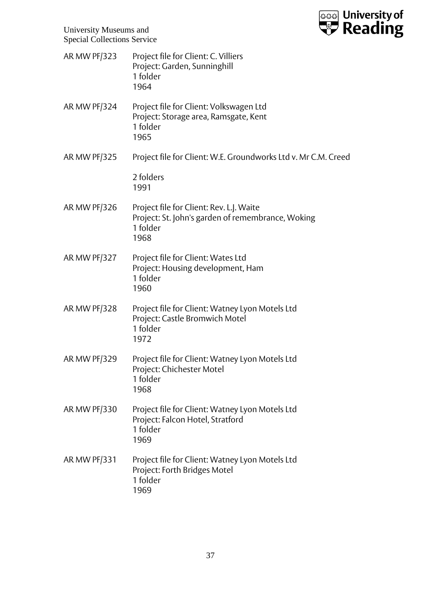

University Museums and Special Collections Service

| AR MW PF/323        | Project file for Client: C. Villiers<br>Project: Garden, Sunninghill<br>1 folder<br>1964                          |
|---------------------|-------------------------------------------------------------------------------------------------------------------|
| AR MW PF/324        | Project file for Client: Volkswagen Ltd<br>Project: Storage area, Ramsgate, Kent<br>1 folder<br>1965              |
| AR MW PF/325        | Project file for Client: W.E. Groundworks Ltd v. Mr C.M. Creed                                                    |
|                     | 2 folders<br>1991                                                                                                 |
| <b>AR MW PF/326</b> | Project file for Client: Rev. L.J. Waite<br>Project: St. John's garden of remembrance, Woking<br>1 folder<br>1968 |
| AR MW PF/327        | Project file for Client: Wates Ltd<br>Project: Housing development, Ham<br>1 folder<br>1960                       |
| AR MW PF/328        | Project file for Client: Watney Lyon Motels Ltd<br>Project: Castle Bromwich Motel<br>1 folder<br>1972             |
| AR MW PF/329        | Project file for Client: Watney Lyon Motels Ltd<br>Project: Chichester Motel<br>1 folder<br>1968                  |
| AR MW PF/330        | Project file for Client: Watney Lyon Motels Ltd<br>Project: Falcon Hotel, Stratford<br>1 folder<br>1969           |
| AR MW PF/331        | Project file for Client: Watney Lyon Motels Ltd<br>Project: Forth Bridges Motel<br>1 folder<br>1969               |
|                     |                                                                                                                   |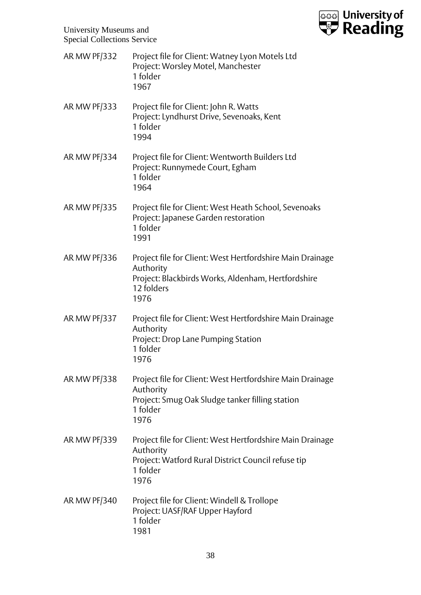

| AR MW PF/332        | Project file for Client: Watney Lyon Motels Ltd<br>Project: Worsley Motel, Manchester<br>1 folder<br>1967                                          |
|---------------------|----------------------------------------------------------------------------------------------------------------------------------------------------|
| AR MW PF/333        | Project file for Client: John R. Watts<br>Project: Lyndhurst Drive, Sevenoaks, Kent<br>1 folder<br>1994                                            |
| AR MW PF/334        | Project file for Client: Wentworth Builders Ltd<br>Project: Runnymede Court, Egham<br>1 folder<br>1964                                             |
| <b>AR MW PF/335</b> | Project file for Client: West Heath School, Sevenoaks<br>Project: Japanese Garden restoration<br>1 folder<br>1991                                  |
| AR MW PF/336        | Project file for Client: West Hertfordshire Main Drainage<br>Authority<br>Project: Blackbirds Works, Aldenham, Hertfordshire<br>12 folders<br>1976 |
| AR MW PF/337        | Project file for Client: West Hertfordshire Main Drainage<br>Authority<br>Project: Drop Lane Pumping Station<br>1 folder<br>1976                   |
| AR MW PF/338        | Project file for Client: West Hertfordshire Main Drainage<br>Authority<br>Project: Smug Oak Sludge tanker filling station<br>1 folder<br>1976      |
| AR MW PF/339        | Project file for Client: West Hertfordshire Main Drainage<br>Authority<br>Project: Watford Rural District Council refuse tip<br>1 folder<br>1976   |
| AR MW PF/340        | Project file for Client: Windell & Trollope<br>Project: UASF/RAF Upper Hayford<br>1 folder<br>1981                                                 |